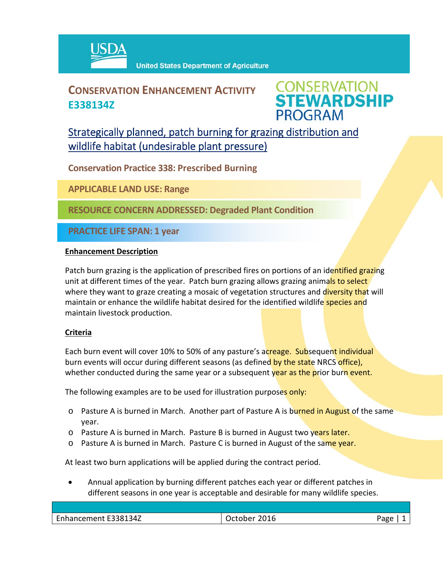

## **CONSERVATION ENHANCEMENT ACTIVITY E338134Z**

**CONSERVATION<br>STEWARDSHIP PROGRAM** 

Strategically planned, patch burning for grazing distribution and wildlife habitat (undesirable plant pressure)

**Conservation Practice 338: Prescribed Burning**

**APPLICABLE LAND USE: Range**

**RESOURCE CONCERN ADDRESSED: Degraded Plant Condition**

**PRACTICE LIFE SPAN: 1 year**

## **Enhancement Description**

Patch burn grazing is the application of prescribed fires on portions of an identified grazing unit at different times of the year. Patch burn grazing allows grazing animals to select where they want to graze creating a mosaic of vegetation structures and diversity that will maintain or enhance the wildlife habitat desired for the identified wildlife species and maintain livestock production.

## **Criteria**

Each burn event will cover 10% to 50% of any pasture's acreage. Subsequent individual burn events will occur during different seasons (as defined by the state NRCS office), whether conducted during the same year or a subsequent year as the prior burn event.

The following examples are to be used for illustration purposes only:

- o Pasture A is burned in March. Another part of Pasture A is burned in August of the same year.
- o Pasture A is burned in March. Pasture B is burned in August two years later.
- $\circ$  Pasture A is burned in March. Pasture C is burned in August of the same year.

At least two burn applications will be applied during the contract period.

 Annual application by burning different patches each year or different patches in different seasons in one year is acceptable and desirable for many wildlife species.

| 201 <sup>c</sup><br>:U1b<br>יור<br>--~ | $\sim$<br>ave |
|----------------------------------------|---------------|
|                                        |               |